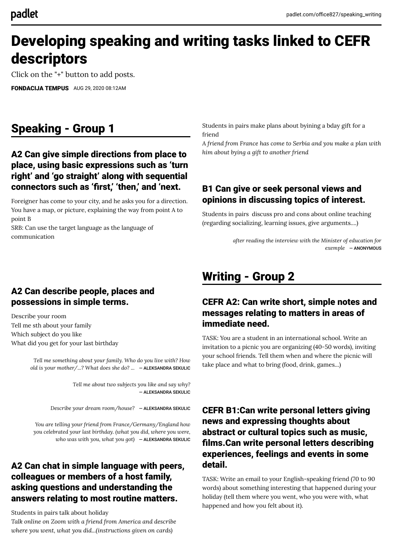# Developing speaking and writing tasks linked to CEFR descriptors

Click on the "+" button to add posts.

[FONDACIJA TEMPUS](https://padlet.com/office827) AUG 29, 2020 08:12AM

## Speaking - Group 1

#### A2 Can give simple directions from place to place, using basic expressions such as 'turn right' and 'go straight' along with sequential connectors such as 'first,' 'then,' and 'next.

Foreigner has come to your city, and he asks you for a direction. You have a map, or picture, explaining the way from point A to point B

SRB: Can use the target language as the language of communication

Students in pairs make plans about byining a bday gift for a friend

*A friend from France has come to Serbia and you make a plan with him about bying a gift to another friend*

#### B1 Can give or seek personal views and opinions in discussing topics of interest.

Students in pairs discuss pro and cons about online teaching (regarding socializing, learning issues, give arguments....)

> *after reading the interview with the Minister of education for exemple* ― ANONYMOUS

#### A2 Can describe people, places and possessions in simple terms.

Describe your room Tell me sth about your family Which subject do you like What did you get for your last birthday

> *Tell me something about your family. Who do you live with? How old is your mother/...? What does she do? ...* ― [ALEKSANDRA SEKULIC](https://padlet.com/alex92sekulic)

> > *Tell me about two subjects you like and say why?* ― [ALEKSANDRA SEKULIC](https://padlet.com/alex92sekulic)

*Describe your dream room/house?* ― [ALEKSANDRA SEKULIC](https://padlet.com/alex92sekulic)

*You are telling your friend from France/Germany/England how you celebrated your last birthday. (what you did, where you were, who was with you, what you got)* ― [ALEKSANDRA SEKULIC](https://padlet.com/alex92sekulic)

#### A2 Can chat in simple language with peers, colleagues or members of a host family, asking questions and understanding the answers relating to most routine matters.

Students in pairs talk about holiday

*Talk online on Zoom with a friend from America and describe where you went, what you did...(instructions given on cards)*

## Writing - Group 2

#### CEFR A2: Can write short, simple notes and messages relating to matters in areas of immediate need.

TASK: You are a student in an international school. Write an invitation to a picnic you are organizing (40-50 words), inviting your school friends. Tell them when and where the picnic will take place and what to bring (food, drink, games...)

#### CEFR B1:Can write personal letters giving news and expressing thoughts about abstract or cultural topics such as music, films.Can write personal letters describing experiences, feelings and events in some detail.

TASK: Write an email to your English-speaking friend (70 to 90 words) about something interesting that happened during your holiday (tell them where you went, who you were with, what happened and how you felt about it).